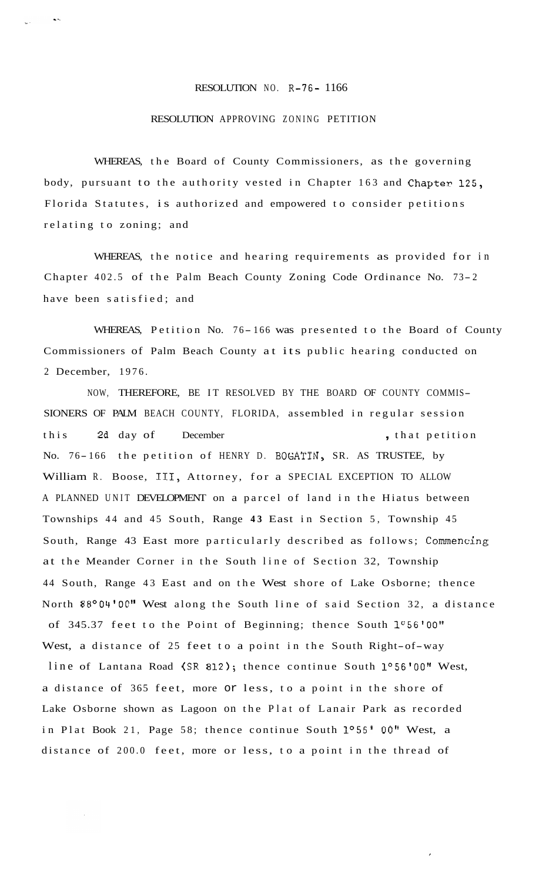## RESOLUTION NO. R-76- 1166

## RESOLUTION APPROVING ZONING PETITION

WHEREAS, the Board of County Commissioners, as the governing body, pursuant to the authority vested in Chapter 163 and Chapter 125, Florida Statutes, is authorized and empowered to consider petitions relating to zoning; and

WHEREAS, the notice and hearing requirements as provided for in Chapter 402.5 of the Palm Beach County Zoning Code Ordinance No. 73- <sup>2</sup> have been satisfied; and

WHEREAS, Petition No. 76-166 was presented to the Board of County Commissioners of Palm Beach County at its public hearing conducted on 2 December, 1976.

NOW, THEREFORE, BE IT RESOLVED BY THE BOARD OF COUNTY COMMIS-SIONERS OF PALM BEACH COUNTY, FLORIDA, assembled in regular session this 2d day of December , that petition No. 76-166 the petition of HENRY D. BOGATIN, SR. AS TRUSTEE, by William R. Boose, 111, Attorney, for a SPECIAL EXCEPTION TO ALLOW A PLANNED UNIT DEVELOPMENT on a parcel of land in the Hiatus between Townships 44 and 45 South, Range **43** East in Section 5, Township 45 South, Range 43 East more particularly described as follows; Commencing at the Meander Corner in the South line of Section 32, Township 44 South, Range 43 East and on the West shore of Lake Osborne; thence North 88°04'00" West along the South line of said Section 32, a distance of 345.37 feet to the Point of Beginning; thence South 1°56'00" West, a distance of 25 feet to a point in the South Right-of-way line of Lantana Road (SR 812); thence continue South 1°56'00" West, a distance of 365 feet, more or less, to a point in the shore of Lake Osborne shown as Lagoon on the Plat of Lanair Park as recorded in Plat Book 21, Page 58; thence continue South 1°56' 00" West, a distance of 200.0 feet, more or less, to a point in the thread of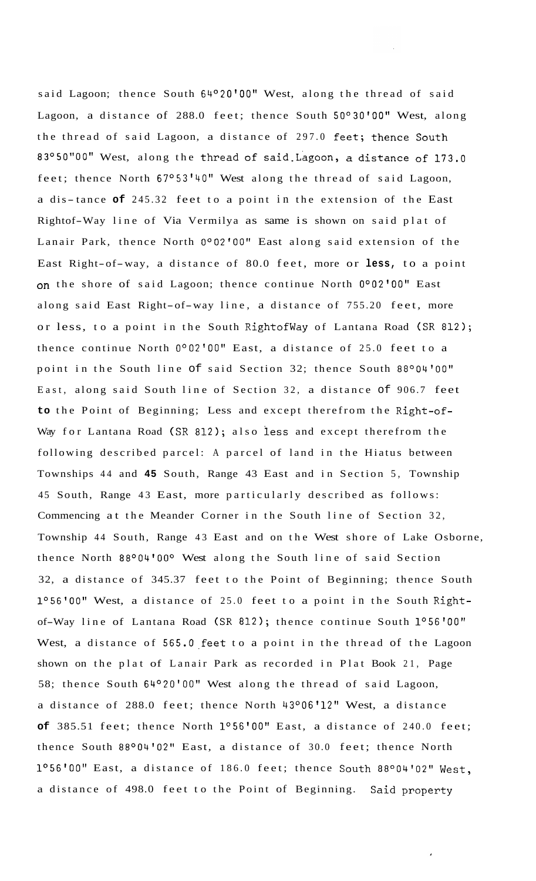said Lagoon; thence South 64°20'00" West, along the thread of said Lagoon, a distance of 288.0 feet; thence South 50°30'00" West, along the thread of said Lagoon, a distance of 297.0 feet; thence South 83°50"00" West, along the thread of Said-Lagoon, a distance of 173.0 feet; thence North 67°53'40" West along the thread of said Lagoon, a dis-tance **of** 245.32 feet to a point in the extension of the East Rightof-Way line of Via Vermilya as same is shown on said plat of Lanair Park, thence North 0°02'00" East along said extension of the East Right-of-way, a distance of 80.0 feet, more or **less,** to a point on the shore of said Lagoon; thence continue North 0°02'00" East along said East Right-of-way line, a distance of 755.20 feet, more or less, to a point in the South Rightofway of Lantana Road (SR 812); thence continue North 0°02'00" East, a distance of 25.0 feet to a point in the South line of said Section 32; thence South 88°04'00" East, along said South line of Section 32, a distance of 906.7 feet **to** the Point of Beginning; Less and except therefrom the Right-of-Way for Lantana Road (SR 812); also less and except therefrom the following described parcel: A parcel of land in the Hiatus between Townships 44 and **45** South, Range 43 East and in Section 5, Township 45 South, Range 43 East, more particularly described as follows: Commencing at the Meander Corner in the South line of Section 32, Township 44 South, Range 43 East and on the West shore of Lake Osborne, thence North 88°04'000 West along the South line of said Section 32, a distance of 345.37 feet to the Point of Beginning; thence South 1°56'00" West, a distance of 25.0 feet to a point in the South Rightof-Way line of Lantana Road (SR 812); thence continue South 1°56'00" West, a distance of 565.0 feet to a point in the thread of the Lagoon shown on the plat of Lanair Park as recorded in Plat Book 21, Page 58; thence South 64°20'00" West along the thread of said Lagoon, a distance of 288.0 feet; thence North 43°06'12" West, a distance **of** 385.51 feet; thence North 1°56'00" East, a distance of 240.0 feet; thence South 88°04'02" East, a distance of 30.0 feet; thence North 1°56'00" East, a distance of 186.0 feet; thence South 88°04'02" West, a distance of 498.0 feet to the Point of Beginning. Said property